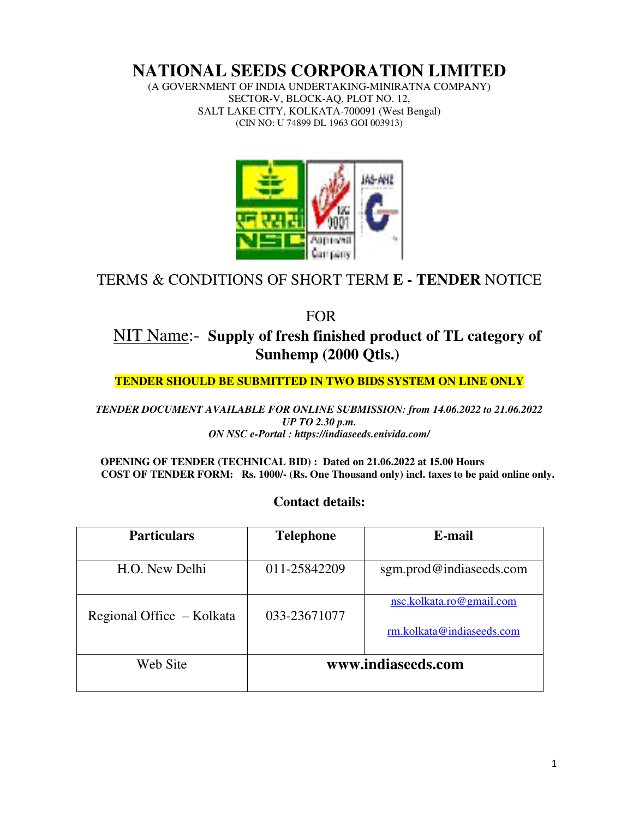# **NATIONAL SEEDS CORPORATION LIMITED**

(A GOVERNMENT OF INDIA UNDERTAKING-MINIRATNA COMPANY) SECTOR-V, BLOCK-AQ, PLOT NO. 12, SALT LAKE CITY, KOLKATA-700091 (West Bengal) (CIN NO: U 74899 DL 1963 GOI 003913)



# TERMS & CONDITIONS OF SHORT TERM **E - TENDER** NOTICE

FOR

# NIT Name:- **Supply of fresh finished product of TL category of Sunhemp (2000 Qtls.)**

# **TENDER SHOULD BE SUBMITTED IN TWO BIDS SYSTEM ON LINE ONLY**

*TENDER DOCUMENT AVAILABLE FOR ONLINE SUBMISSION: from 14.06.2022 to 21.06.2022 UP TO 2.30 p.m. ON NSC e-Portal : https://indiaseeds.enivida.com/* 

 **OPENING OF TENDER (TECHNICAL BID) : Dated on 21.06.2022 at 15.00 Hours COST OF TENDER FORM: Rs. 1000/- (Rs. One Thousand only) incl. taxes to be paid online only.**

| Particulars  | <b>Telephone</b> | E-mail          |
|--------------|------------------|-----------------|
|              |                  |                 |
| O. New Delhi | 011-25842209     | sgm.prod@indias |

 $\Box$ 

# **Contact details:**

| r ar uculars              | <b>Telepholie</b>  | L-шан                     |  |
|---------------------------|--------------------|---------------------------|--|
|                           |                    |                           |  |
| H.O. New Delhi            | 011-25842209       | sgm.prod@indiaseeds.com   |  |
|                           |                    |                           |  |
|                           |                    | nsc.kolkata.ro@gmail.com  |  |
| Regional Office - Kolkata | 033-23671077       |                           |  |
|                           |                    | rm.kolkata@indiaseeds.com |  |
|                           |                    |                           |  |
| Web Site                  | www.indiaseeds.com |                           |  |
|                           |                    |                           |  |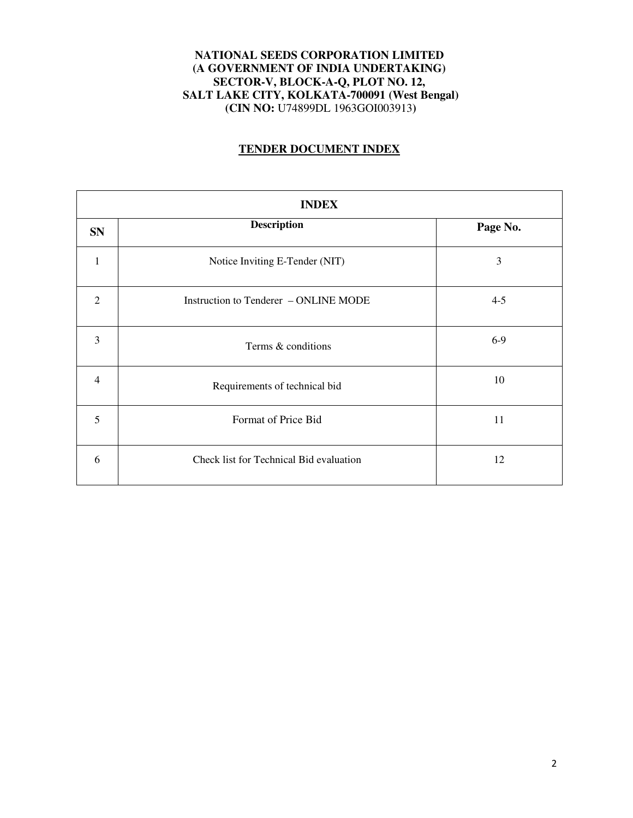### **NATIONAL SEEDS CORPORATION LIMITED (A GOVERNMENT OF INDIA UNDERTAKING) SECTOR-V, BLOCK-A-Q, PLOT NO. 12, SALT LAKE CITY, KOLKATA-700091 (West Bengal) (CIN NO:** U74899DL 1963GOI003913**)**

## **TENDER DOCUMENT INDEX**

| <b>INDEX</b>   |                                         |          |  |  |
|----------------|-----------------------------------------|----------|--|--|
| <b>SN</b>      | <b>Description</b>                      | Page No. |  |  |
| $\mathbf{1}$   | Notice Inviting E-Tender (NIT)          | 3        |  |  |
| $\overline{2}$ | Instruction to Tenderer - ONLINE MODE   | $4 - 5$  |  |  |
| 3              | Terms & conditions                      | $6-9$    |  |  |
| $\overline{4}$ | Requirements of technical bid           | 10       |  |  |
| 5              | Format of Price Bid                     | 11       |  |  |
| 6              | Check list for Technical Bid evaluation | 12       |  |  |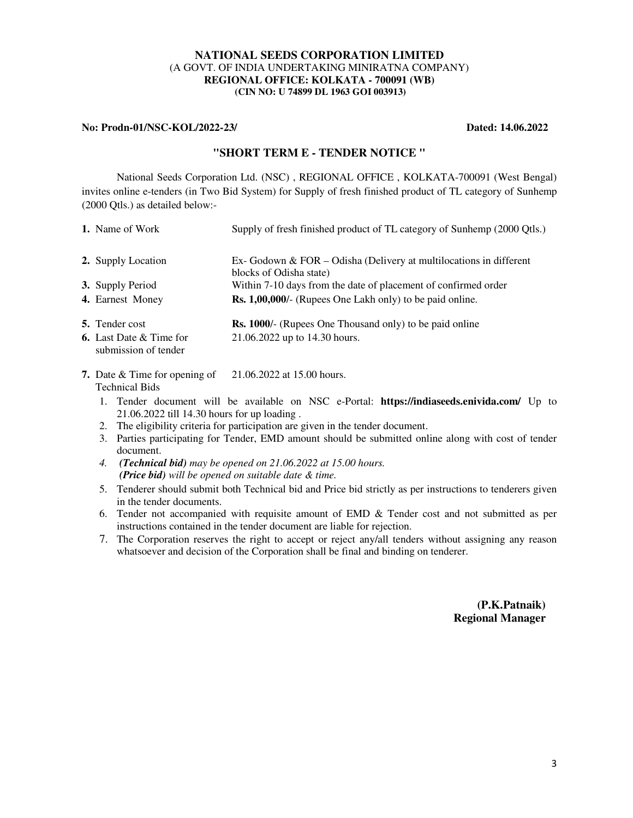#### **NATIONAL SEEDS CORPORATION LIMITED**  (A GOVT. OF INDIA UNDERTAKING MINIRATNA COMPANY) **REGIONAL OFFICE: KOLKATA - 700091 (WB) (CIN NO: U 74899 DL 1963 GOI 003913)**

#### **No: Prodn-01/NSC-KOL/2022-23/ Dated: 14.06.2022**

submission of tender

#### **"SHORT TERM E - TENDER NOTICE "**

National Seeds Corporation Ltd. (NSC) , REGIONAL OFFICE , KOLKATA-700091 (West Bengal) invites online e-tenders (in Two Bid System) for Supply of fresh finished product of TL category of Sunhemp (2000 Qtls.) as detailed below:-

| 1. Name of Work                | Supply of fresh finished product of TL category of Sunhemp (2000 Qtls.) |
|--------------------------------|-------------------------------------------------------------------------|
|                                |                                                                         |
| 2. Supply Location             | Ex-Godown & FOR – Odisha (Delivery at multilocations in different       |
|                                | blocks of Odisha state)                                                 |
| 3. Supply Period               | Within 7-10 days from the date of placement of confirmed order          |
| 4. Earnest Money               | <b>Rs. 1,00,000/-</b> (Rupees One Lakh only) to be paid online.         |
| <b>5.</b> Tender cost          | <b>Rs. 1000/-</b> (Rupees One Thousand only) to be paid online          |
| <b>6.</b> Last Date & Time for | 21.06.2022 up to 14.30 hours.                                           |

- **7.** Date & Time for opening of 21.06.2022 at 15.00 hours. Technical Bids
	- 1. Tender document will be available on NSC e-Portal: **https://indiaseeds.enivida.com/** Up to 21.06.2022 till 14.30 hours for up loading .
	- 2. The eligibility criteria for participation are given in the tender document.
	- 3. Parties participating for Tender, EMD amount should be submitted online along with cost of tender document.
	- *4. (Technical bid) may be opened on 21.06.2022 at 15.00 hours. (Price bid) will be opened on suitable date & time.*
	- 5. Tenderer should submit both Technical bid and Price bid strictly as per instructions to tenderers given in the tender documents.
	- 6. Tender not accompanied with requisite amount of EMD & Tender cost and not submitted as per instructions contained in the tender document are liable for rejection.
	- 7. The Corporation reserves the right to accept or reject any/all tenders without assigning any reason whatsoever and decision of the Corporation shall be final and binding on tenderer.

 **(P.K.Patnaik) Regional Manager**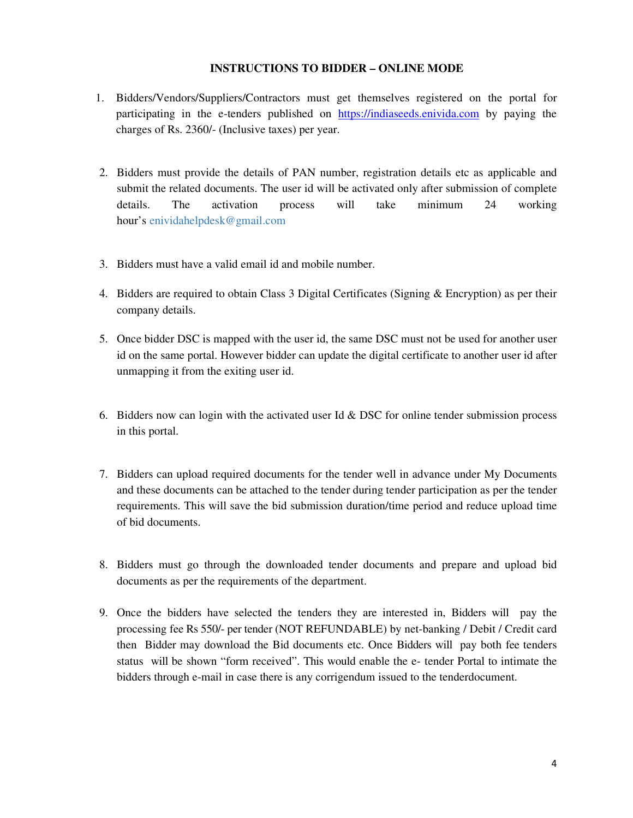#### **INSTRUCTIONS TO BIDDER – ONLINE MODE**

- 1. Bidders/Vendors/Suppliers/Contractors must get themselves registered on the portal for participating in the e-tenders published on https://indiaseeds.enivida.com by paying the charges of Rs. 2360/- (Inclusive taxes) per year.
- 2. Bidders must provide the details of PAN number, registration details etc as applicable and submit the related documents. The user id will be activated only after submission of complete details. The activation process will take minimum 24 working hour's enividahelpdesk@gmail.com
- 3. Bidders must have a valid email id and mobile number.
- 4. Bidders are required to obtain Class 3 Digital Certificates (Signing & Encryption) as per their company details.
- 5. Once bidder DSC is mapped with the user id, the same DSC must not be used for another user id on the same portal. However bidder can update the digital certificate to another user id after unmapping it from the exiting user id.
- 6. Bidders now can login with the activated user Id  $&$  DSC for online tender submission process in this portal.
- 7. Bidders can upload required documents for the tender well in advance under My Documents and these documents can be attached to the tender during tender participation as per the tender requirements. This will save the bid submission duration/time period and reduce upload time of bid documents.
- 8. Bidders must go through the downloaded tender documents and prepare and upload bid documents as per the requirements of the department.
- 9. Once the bidders have selected the tenders they are interested in, Bidders will pay the processing fee Rs 550/- per tender (NOT REFUNDABLE) by net-banking / Debit / Credit card then Bidder may download the Bid documents etc. Once Bidders will pay both fee tenders status will be shown "form received". This would enable the e- tender Portal to intimate the bidders through e-mail in case there is any corrigendum issued to the tenderdocument.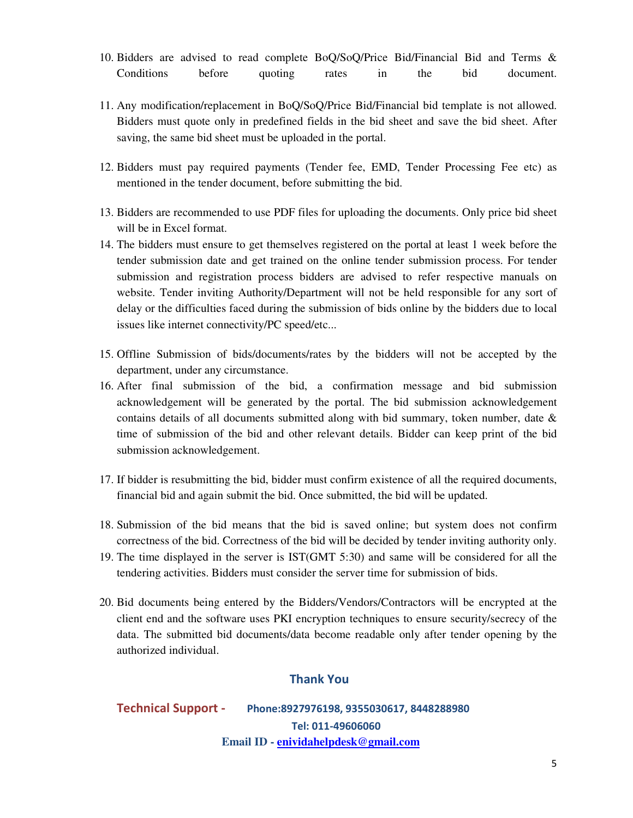- 10. Bidders are advised to read complete BoQ/SoQ/Price Bid/Financial Bid and Terms & Conditions before quoting rates in the bid document.
- 11. Any modification/replacement in BoQ/SoQ/Price Bid/Financial bid template is not allowed. Bidders must quote only in predefined fields in the bid sheet and save the bid sheet. After saving, the same bid sheet must be uploaded in the portal.
- 12. Bidders must pay required payments (Tender fee, EMD, Tender Processing Fee etc) as mentioned in the tender document, before submitting the bid.
- 13. Bidders are recommended to use PDF files for uploading the documents. Only price bid sheet will be in Excel format.
- 14. The bidders must ensure to get themselves registered on the portal at least 1 week before the tender submission date and get trained on the online tender submission process. For tender submission and registration process bidders are advised to refer respective manuals on website. Tender inviting Authority/Department will not be held responsible for any sort of delay or the difficulties faced during the submission of bids online by the bidders due to local issues like internet connectivity/PC speed/etc...
- 15. Offline Submission of bids/documents/rates by the bidders will not be accepted by the department, under any circumstance.
- 16. After final submission of the bid, a confirmation message and bid submission acknowledgement will be generated by the portal. The bid submission acknowledgement contains details of all documents submitted along with bid summary, token number, date & time of submission of the bid and other relevant details. Bidder can keep print of the bid submission acknowledgement.
- 17. If bidder is resubmitting the bid, bidder must confirm existence of all the required documents, financial bid and again submit the bid. Once submitted, the bid will be updated.
- 18. Submission of the bid means that the bid is saved online; but system does not confirm correctness of the bid. Correctness of the bid will be decided by tender inviting authority only.
- 19. The time displayed in the server is IST(GMT 5:30) and same will be considered for all the tendering activities. Bidders must consider the server time for submission of bids.
- 20. Bid documents being entered by the Bidders/Vendors/Contractors will be encrypted at the client end and the software uses PKI encryption techniques to ensure security/secrecy of the data. The submitted bid documents/data become readable only after tender opening by the authorized individual.

## **Thank You**

**Technical Support - Phone:8927976198, 9355030617, 8448288980 Tel: 011-49606060 Email ID - enividahelpdesk@gmail.com**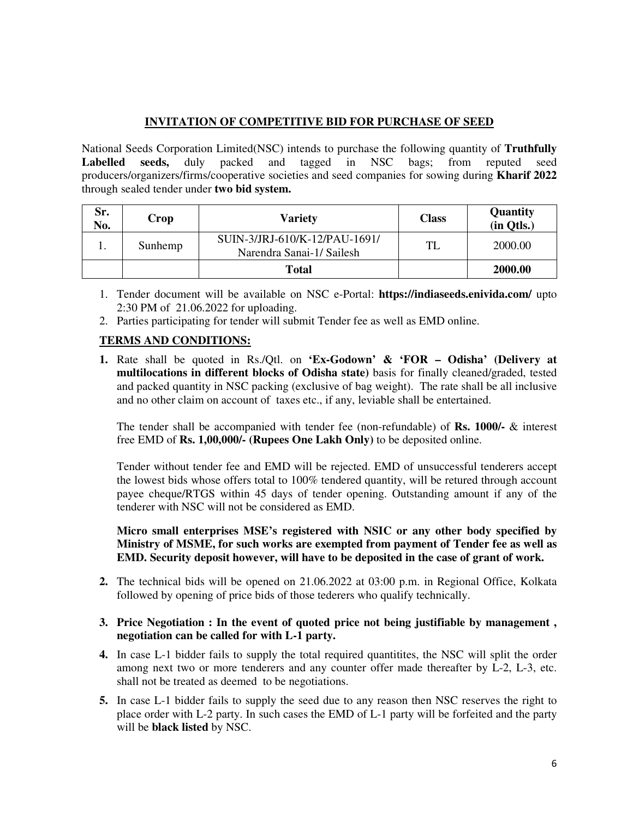# **INVITATION OF COMPETITIVE BID FOR PURCHASE OF SEED**

National Seeds Corporation Limited(NSC) intends to purchase the following quantity of **Truthfully Labelled seeds,** duly packed and tagged in NSC bags; from reputed seed producers/organizers/firms/cooperative societies and seed companies for sowing during **Kharif 2022** through sealed tender under **two bid system.** 

| Sr.<br>No. | Crop    | <b>Variety</b>                                             | <b>Class</b> | Quantity<br>(in Qtls.) |
|------------|---------|------------------------------------------------------------|--------------|------------------------|
|            | Sunhemp | SUIN-3/JRJ-610/K-12/PAU-1691/<br>Narendra Sanai-1/ Sailesh | TI           | 2000.00                |
|            |         | <b>Total</b>                                               |              | 2000.00                |

- 1. Tender document will be available on NSC e-Portal: **https://indiaseeds.enivida.com/** upto 2:30 PM of 21.06.2022 for uploading.
- 2. Parties participating for tender will submit Tender fee as well as EMD online.

## **TERMS AND CONDITIONS:**

**1.** Rate shall be quoted in Rs./Qtl. on **'Ex-Godown' & 'FOR – Odisha' (Delivery at multilocations in different blocks of Odisha state)** basis for finally cleaned/graded, tested and packed quantity in NSC packing (exclusive of bag weight). The rate shall be all inclusive and no other claim on account of taxes etc., if any, leviable shall be entertained.

The tender shall be accompanied with tender fee (non-refundable) of **Rs. 1000/-** & interest free EMD of **Rs. 1,00,000/- (Rupees One Lakh Only)** to be deposited online.

Tender without tender fee and EMD will be rejected. EMD of unsuccessful tenderers accept the lowest bids whose offers total to 100% tendered quantity, will be retured through account payee cheque/RTGS within 45 days of tender opening. Outstanding amount if any of the tenderer with NSC will not be considered as EMD.

**Micro small enterprises MSE's registered with NSIC or any other body specified by Ministry of MSME, for such works are exempted from payment of Tender fee as well as EMD. Security deposit however, will have to be deposited in the case of grant of work.** 

- **2.** The technical bids will be opened on 21.06.2022 at 03:00 p.m. in Regional Office, Kolkata followed by opening of price bids of those tederers who qualify technically.
- **3. Price Negotiation : In the event of quoted price not being justifiable by management , negotiation can be called for with L-1 party.**
- **4.** In case L-1 bidder fails to supply the total required quantitites, the NSC will split the order among next two or more tenderers and any counter offer made thereafter by L-2, L-3, etc. shall not be treated as deemed to be negotiations.
- **5.** In case L-1 bidder fails to supply the seed due to any reason then NSC reserves the right to place order with L-2 party. In such cases the EMD of L-1 party will be forfeited and the party will be **black listed** by NSC.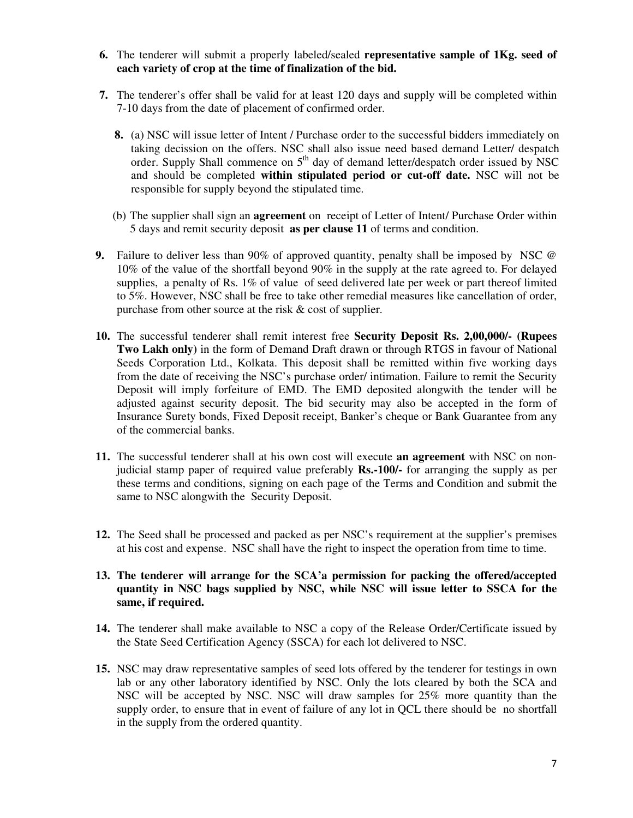- **6.** The tenderer will submit a properly labeled/sealed **representative sample of 1Kg. seed of each variety of crop at the time of finalization of the bid.**
- **7.** The tenderer's offer shall be valid for at least 120 days and supply will be completed within 7-10 days from the date of placement of confirmed order.
	- **8.** (a) NSC will issue letter of Intent / Purchase order to the successful bidders immediately on taking decission on the offers. NSC shall also issue need based demand Letter/ despatch order. Supply Shall commence on  $5<sup>th</sup>$  day of demand letter/despatch order issued by NSC and should be completed **within stipulated period or cut-off date.** NSC will not be responsible for supply beyond the stipulated time.
	- (b) The supplier shall sign an **agreement** on receipt of Letter of Intent/ Purchase Order within 5 days and remit security deposit **as per clause 11** of terms and condition.
- **9.** Failure to deliver less than 90% of approved quantity, penalty shall be imposed by NSC @ 10% of the value of the shortfall beyond 90% in the supply at the rate agreed to. For delayed supplies, a penalty of Rs. 1% of value of seed delivered late per week or part thereof limited to 5%. However, NSC shall be free to take other remedial measures like cancellation of order, purchase from other source at the risk & cost of supplier.
- **10.** The successful tenderer shall remit interest free **Security Deposit Rs. 2,00,000/- (Rupees Two Lakh only)** in the form of Demand Draft drawn or through RTGS in favour of National Seeds Corporation Ltd., Kolkata. This deposit shall be remitted within five working days from the date of receiving the NSC's purchase order/ intimation. Failure to remit the Security Deposit will imply forfeiture of EMD. The EMD deposited alongwith the tender will be adjusted against security deposit. The bid security may also be accepted in the form of Insurance Surety bonds, Fixed Deposit receipt, Banker's cheque or Bank Guarantee from any of the commercial banks.
- **11.** The successful tenderer shall at his own cost will execute **an agreement** with NSC on nonjudicial stamp paper of required value preferably **Rs.-100/-** for arranging the supply as per these terms and conditions, signing on each page of the Terms and Condition and submit the same to NSC alongwith the Security Deposit.
- **12.** The Seed shall be processed and packed as per NSC's requirement at the supplier's premises at his cost and expense. NSC shall have the right to inspect the operation from time to time.
- **13. The tenderer will arrange for the SCA'a permission for packing the offered/accepted quantity in NSC bags supplied by NSC, while NSC will issue letter to SSCA for the same, if required.**
- **14.** The tenderer shall make available to NSC a copy of the Release Order/Certificate issued by the State Seed Certification Agency (SSCA) for each lot delivered to NSC.
- **15.** NSC may draw representative samples of seed lots offered by the tenderer for testings in own lab or any other laboratory identified by NSC. Only the lots cleared by both the SCA and NSC will be accepted by NSC. NSC will draw samples for 25% more quantity than the supply order, to ensure that in event of failure of any lot in QCL there should be no shortfall in the supply from the ordered quantity.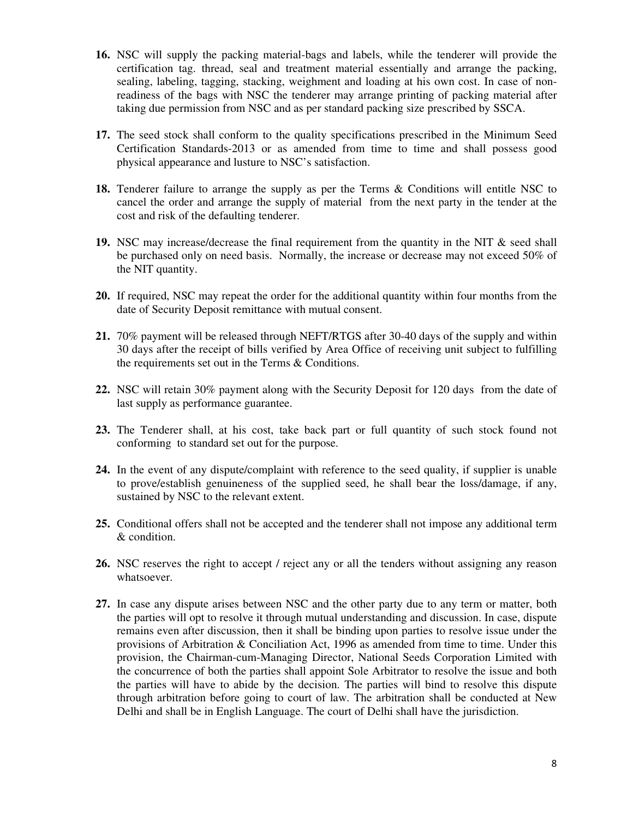- **16.** NSC will supply the packing material-bags and labels, while the tenderer will provide the certification tag. thread, seal and treatment material essentially and arrange the packing, sealing, labeling, tagging, stacking, weighment and loading at his own cost. In case of nonreadiness of the bags with NSC the tenderer may arrange printing of packing material after taking due permission from NSC and as per standard packing size prescribed by SSCA.
- **17.** The seed stock shall conform to the quality specifications prescribed in the Minimum Seed Certification Standards-2013 or as amended from time to time and shall possess good physical appearance and lusture to NSC's satisfaction.
- **18.** Tenderer failure to arrange the supply as per the Terms & Conditions will entitle NSC to cancel the order and arrange the supply of material from the next party in the tender at the cost and risk of the defaulting tenderer.
- **19.** NSC may increase/decrease the final requirement from the quantity in the NIT & seed shall be purchased only on need basis. Normally, the increase or decrease may not exceed 50% of the NIT quantity.
- **20.** If required, NSC may repeat the order for the additional quantity within four months from the date of Security Deposit remittance with mutual consent.
- **21.** 70% payment will be released through NEFT/RTGS after 30-40 days of the supply and within 30 days after the receipt of bills verified by Area Office of receiving unit subject to fulfilling the requirements set out in the Terms & Conditions.
- **22.** NSC will retain 30% payment along with the Security Deposit for 120 days from the date of last supply as performance guarantee.
- **23.** The Tenderer shall, at his cost, take back part or full quantity of such stock found not conforming to standard set out for the purpose.
- **24.** In the event of any dispute/complaint with reference to the seed quality, if supplier is unable to prove/establish genuineness of the supplied seed, he shall bear the loss/damage, if any, sustained by NSC to the relevant extent.
- **25.** Conditional offers shall not be accepted and the tenderer shall not impose any additional term & condition.
- **26.** NSC reserves the right to accept / reject any or all the tenders without assigning any reason whatsoever.
- **27.** In case any dispute arises between NSC and the other party due to any term or matter, both the parties will opt to resolve it through mutual understanding and discussion. In case, dispute remains even after discussion, then it shall be binding upon parties to resolve issue under the provisions of Arbitration & Conciliation Act, 1996 as amended from time to time. Under this provision, the Chairman-cum-Managing Director, National Seeds Corporation Limited with the concurrence of both the parties shall appoint Sole Arbitrator to resolve the issue and both the parties will have to abide by the decision. The parties will bind to resolve this dispute through arbitration before going to court of law. The arbitration shall be conducted at New Delhi and shall be in English Language. The court of Delhi shall have the jurisdiction.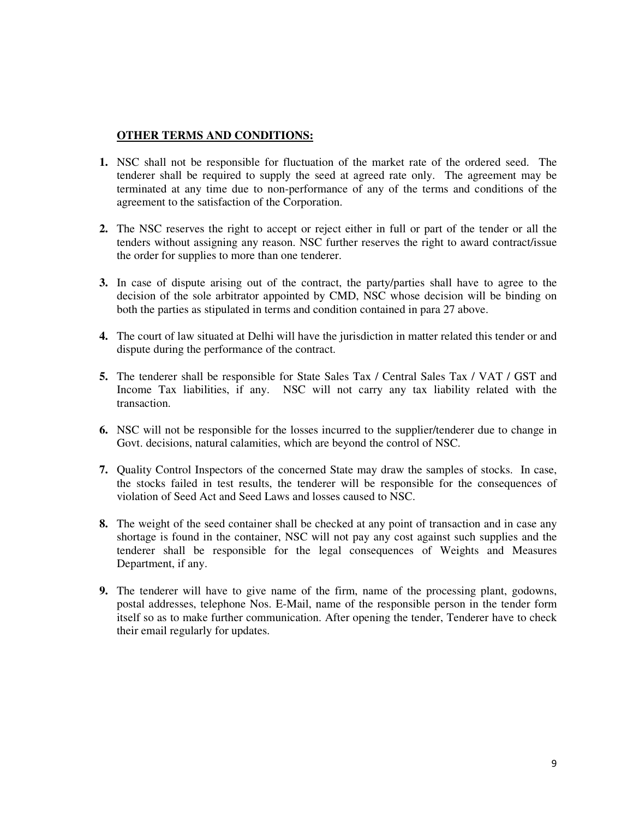#### **OTHER TERMS AND CONDITIONS:**

- **1.** NSC shall not be responsible for fluctuation of the market rate of the ordered seed. The tenderer shall be required to supply the seed at agreed rate only. The agreement may be terminated at any time due to non-performance of any of the terms and conditions of the agreement to the satisfaction of the Corporation.
- **2.** The NSC reserves the right to accept or reject either in full or part of the tender or all the tenders without assigning any reason. NSC further reserves the right to award contract/issue the order for supplies to more than one tenderer.
- **3.** In case of dispute arising out of the contract, the party/parties shall have to agree to the decision of the sole arbitrator appointed by CMD, NSC whose decision will be binding on both the parties as stipulated in terms and condition contained in para 27 above.
- **4.** The court of law situated at Delhi will have the jurisdiction in matter related this tender or and dispute during the performance of the contract.
- **5.** The tenderer shall be responsible for State Sales Tax / Central Sales Tax / VAT / GST and Income Tax liabilities, if any. NSC will not carry any tax liability related with the transaction.
- **6.** NSC will not be responsible for the losses incurred to the supplier/tenderer due to change in Govt. decisions, natural calamities, which are beyond the control of NSC.
- **7.** Quality Control Inspectors of the concerned State may draw the samples of stocks. In case, the stocks failed in test results, the tenderer will be responsible for the consequences of violation of Seed Act and Seed Laws and losses caused to NSC.
- **8.** The weight of the seed container shall be checked at any point of transaction and in case any shortage is found in the container, NSC will not pay any cost against such supplies and the tenderer shall be responsible for the legal consequences of Weights and Measures Department, if any.
- **9.** The tenderer will have to give name of the firm, name of the processing plant, godowns, postal addresses, telephone Nos. E-Mail, name of the responsible person in the tender form itself so as to make further communication. After opening the tender, Tenderer have to check their email regularly for updates.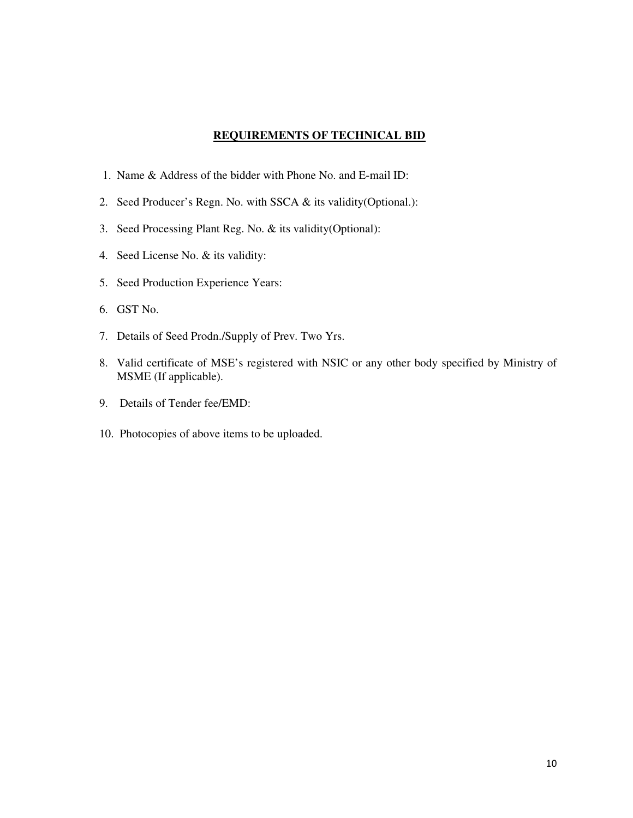#### **REQUIREMENTS OF TECHNICAL BID**

- 1. Name & Address of the bidder with Phone No. and E-mail ID:
- 2. Seed Producer's Regn. No. with SSCA & its validity(Optional.):
- 3. Seed Processing Plant Reg. No. & its validity(Optional):
- 4. Seed License No. & its validity:
- 5. Seed Production Experience Years:
- 6. GST No.
- 7. Details of Seed Prodn./Supply of Prev. Two Yrs.
- 8. Valid certificate of MSE's registered with NSIC or any other body specified by Ministry of MSME (If applicable).
- 9. Details of Tender fee/EMD:
- 10. Photocopies of above items to be uploaded.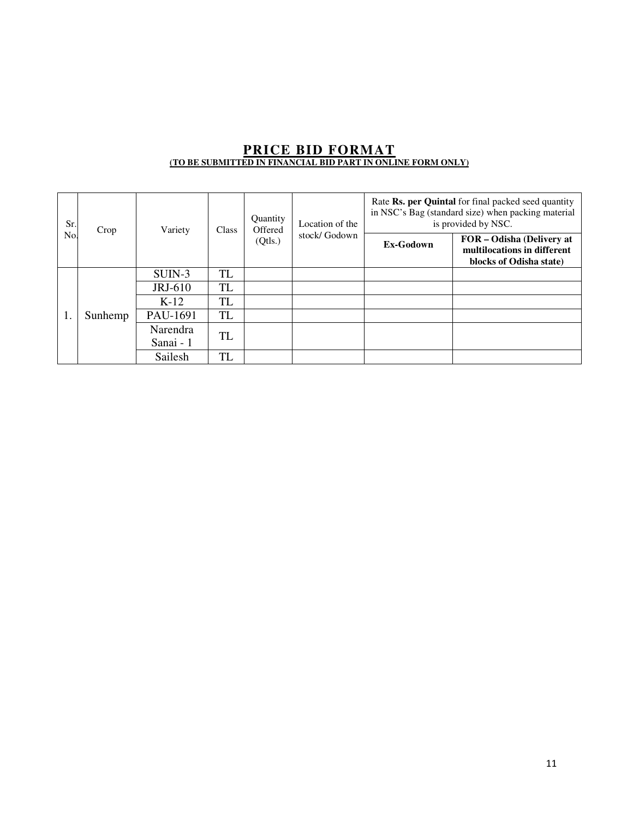#### **PRICE BID FORMAT (TO BE SUBMITTED IN FINANCIAL BID PART IN ONLINE FORM ONLY)**

| Sr.<br>No. | Crop    | Variety         | Class | Quantity<br>Offered<br>(Qtls.) | Location of the<br>stock/Godown | Rate Rs. per Quintal for final packed seed quantity<br>in NSC's Bag (standard size) when packing material<br>is provided by NSC. |                                                                                     |
|------------|---------|-----------------|-------|--------------------------------|---------------------------------|----------------------------------------------------------------------------------------------------------------------------------|-------------------------------------------------------------------------------------|
|            |         |                 |       |                                |                                 | Ex-Godown                                                                                                                        | FOR – Odisha (Delivery at<br>multilocations in different<br>blocks of Odisha state) |
|            |         | SUIN-3          | TL    |                                |                                 |                                                                                                                                  |                                                                                     |
|            |         | JRJ-610         | TL    |                                |                                 |                                                                                                                                  |                                                                                     |
|            |         | $K-12$          | TL    |                                |                                 |                                                                                                                                  |                                                                                     |
|            | Sunhemp | PAU-1691        | TL    |                                |                                 |                                                                                                                                  |                                                                                     |
|            |         | <b>Narendra</b> | TL    |                                |                                 |                                                                                                                                  |                                                                                     |
|            |         | Sanai - 1       |       |                                |                                 |                                                                                                                                  |                                                                                     |
|            |         | Sailesh         | TL    |                                |                                 |                                                                                                                                  |                                                                                     |